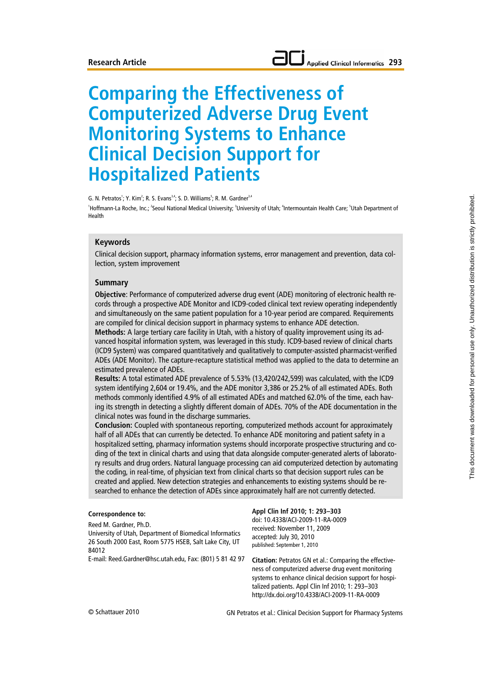# **Comparing the Effectiveness of Computerized Adverse Drug Event Monitoring Systems to Enhance Clinical Decision Support for Hospitalized Patients**

G. N. Petratos<sup>1</sup>; Y. Kim<sup>2</sup>; R. S. Evans<sup>3,4</sup>; S. D. Williams<sup>5</sup>; R. M. Gardner<sup>3,4</sup> 'Hoffmann-La Roche, Inc.; <sup>2</sup>Seoul National Medical University; <sup>3</sup>University of Utah; <sup>4</sup>Intermountain Health Care; <sup>5</sup>Utah Department of Health

### **Keywords**

Clinical decision support, pharmacy information systems, error management and prevention, data collection, system improvement

#### **Summary**

**Objective**: Performance of computerized adverse drug event (ADE) monitoring of electronic health records through a prospective ADE Monitor and ICD9-coded clinical text review operating independently and simultaneously on the same patient population for a 10-year period are compared. Requirements are compiled for clinical decision support in pharmacy systems to enhance ADE detection.

**Methods:** A large tertiary care facility in Utah, with a history of quality improvement using its advanced hospital information system, was leveraged in this study. ICD9-based review of clinical charts (ICD9 System) was compared quantitatively and qualitatively to computer-assisted pharmacist-verified ADEs (ADE Monitor). The capture-recapture statistical method was applied to the data to determine an estimated prevalence of ADEs.

**Results:** A total estimated ADE prevalence of 5.53% (13,420/242,599) was calculated, with the ICD9 system identifying 2,604 or 19.4%, and the ADE monitor 3,386 or 25.2% of all estimated ADEs. Both methods commonly identified 4.9% of all estimated ADEs and matched 62.0% of the time, each having its strength in detecting a slightly different domain of ADEs. 70% of the ADE documentation in the clinical notes was found in the discharge summaries.

**Conclusion:** Coupled with spontaneous reporting, computerized methods account for approximately half of all ADEs that can currently be detected. To enhance ADE monitoring and patient safety in a hospitalized setting, pharmacy information systems should incorporate prospective structuring and coding of the text in clinical charts and using that data alongside computer-generated alerts of laboratory results and drug orders. Natural language processing can aid computerized detection by automating the coding, in real-time, of physician text from clinical charts so that decision support rules can be created and applied. New detection strategies and enhancements to existing systems should be researched to enhance the detection of ADEs since approximately half are not currently detected.

| Correspondence to: |
|--------------------|
|--------------------|

| Correspondence to.                                                                                                                                    |                                                                                                                                                                                                                                                                                     |  |
|-------------------------------------------------------------------------------------------------------------------------------------------------------|-------------------------------------------------------------------------------------------------------------------------------------------------------------------------------------------------------------------------------------------------------------------------------------|--|
| Reed M. Gardner, Ph.D.<br>University of Utah, Department of Biomedical Informatics<br>26 South 2000 East, Room 5775 HSEB, Salt Lake City, UT<br>84012 | doi: 10.4338/ACI-2009-11-RA-0009<br>received: November 11, 2009<br>accepted: July 30, 2010<br>published: September 1, 2010                                                                                                                                                          |  |
| E-mail: Reed.Gardner@hsc.utah.edu, Fax: (801) 5 81 42 97                                                                                              | <b>Citation:</b> Petratos GN et al.: Comparing the effective-<br>ness of computerized adverse drug event monitoring<br>systems to enhance clinical decision support for hospi-<br>talized patients. Appl Clin Inf 2010; 1: 293-303<br>http://dx.doi.org/10.4338/ACI-2009-11-RA-0009 |  |

**Appl Clin Inf 2010; 1: 293–303**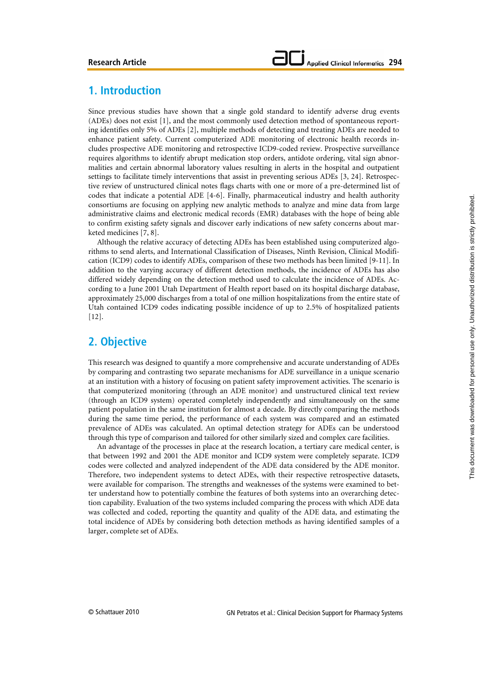## **1. Introduction**

Since previous studies have shown that a single gold standard to identify adverse drug events (ADEs) does not exist [1], and the most commonly used detection method of spontaneous reporting identifies only 5% of ADEs [2], multiple methods of detecting and treating ADEs are needed to enhance patient safety. Current computerized ADE monitoring of electronic health records includes prospective ADE monitoring and retrospective ICD9-coded review. Prospective surveillance requires algorithms to identify abrupt medication stop orders, antidote ordering, vital sign abnormalities and certain abnormal laboratory values resulting in alerts in the hospital and outpatient settings to facilitate timely interventions that assist in preventing serious ADEs [3, 24]. Retrospective review of unstructured clinical notes flags charts with one or more of a pre-determined list of codes that indicate a potential ADE [4-6]. Finally, pharmaceutical industry and health authority consortiums are focusing on applying new analytic methods to analyze and mine data from large administrative claims and electronic medical records (EMR) databases with the hope of being able to confirm existing safety signals and discover early indications of new safety concerns about marketed medicines [7, 8].

Although the relative accuracy of detecting ADEs has been established using computerized algorithms to send alerts, and International Classification of Diseases, Ninth Revision, Clinical Modification (ICD9) codes to identify ADEs, comparison of these two methods has been limited [9-11]. In addition to the varying accuracy of different detection methods, the incidence of ADEs has also differed widely depending on the detection method used to calculate the incidence of ADEs. According to a June 2001 Utah Department of Health report based on its hospital discharge database, approximately 25,000 discharges from a total of one million hospitalizations from the entire state of Utah contained ICD9 codes indicating possible incidence of up to 2.5% of hospitalized patients [12].

# **2. Objective**

This research was designed to quantify a more comprehensive and accurate understanding of ADEs by comparing and contrasting two separate mechanisms for ADE surveillance in a unique scenario at an institution with a history of focusing on patient safety improvement activities. The scenario is that computerized monitoring (through an ADE monitor) and unstructured clinical text review (through an ICD9 system) operated completely independently and simultaneously on the same patient population in the same institution for almost a decade. By directly comparing the methods during the same time period, the performance of each system was compared and an estimated prevalence of ADEs was calculated. An optimal detection strategy for ADEs can be understood through this type of comparison and tailored for other similarly sized and complex care facilities.

An advantage of the processes in place at the research location, a tertiary care medical center, is that between 1992 and 2001 the ADE monitor and ICD9 system were completely separate. ICD9 codes were collected and analyzed independent of the ADE data considered by the ADE monitor. Therefore, two independent systems to detect ADEs, with their respective retrospective datasets, were available for comparison. The strengths and weaknesses of the systems were examined to better understand how to potentially combine the features of both systems into an overarching detection capability. Evaluation of the two systems included comparing the process with which ADE data was collected and coded, reporting the quantity and quality of the ADE data, and estimating the total incidence of ADEs by considering both detection methods as having identified samples of a larger, complete set of ADEs.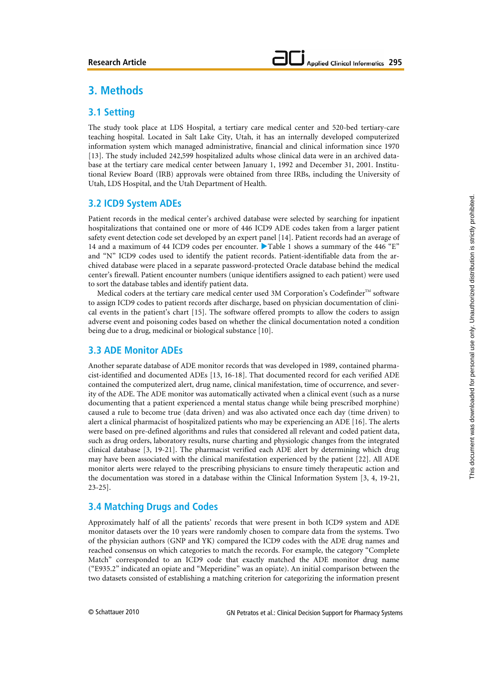# **3. Methods**

## **3.1 Setting**

The study took place at LDS Hospital, a tertiary care medical center and 520-bed tertiary-care teaching hospital. Located in Salt Lake City, Utah, it has an internally developed computerized information system which managed administrative, financial and clinical information since 1970 [13]. The study included 242,599 hospitalized adults whose clinical data were in an archived database at the tertiary care medical center between January 1, 1992 and December 31, 2001. Institutional Review Board (IRB) approvals were obtained from three IRBs, including the University of Utah, LDS Hospital, and the Utah Department of Health.

## **3.2 ICD9 System ADEs**

Patient records in the medical center's archived database were selected by searching for inpatient hospitalizations that contained one or more of 446 ICD9 ADE codes taken from a larger patient safety event detection code set developed by an expert panel [14]. Patient records had an average of 14 and a maximum of 44 ICD9 codes per encounter. Table 1 shows a summary of the 446 "E" and "N" ICD9 codes used to identify the patient records. Patient-identifiable data from the archived database were placed in a separate password-protected Oracle database behind the medical center's firewall. Patient encounter numbers (unique identifiers assigned to each patient) were used to sort the database tables and identify patient data.

Medical coders at the tertiary care medical center used 3M Corporation's Codefinder<sup>TM</sup> software to assign ICD9 codes to patient records after discharge, based on physician documentation of clinical events in the patient's chart [15]. The software offered prompts to allow the coders to assign adverse event and poisoning codes based on whether the clinical documentation noted a condition being due to a drug, medicinal or biological substance [10].

### **3.3 ADE Monitor ADEs**

Another separate database of ADE monitor records that was developed in 1989, contained pharmacist-identified and documented ADEs [13, 16-18]. That documented record for each verified ADE contained the computerized alert, drug name, clinical manifestation, time of occurrence, and severity of the ADE. The ADE monitor was automatically activated when a clinical event (such as a nurse documenting that a patient experienced a mental status change while being prescribed morphine) caused a rule to become true (data driven) and was also activated once each day (time driven) to alert a clinical pharmacist of hospitalized patients who may be experiencing an ADE [16]. The alerts were based on pre-defined algorithms and rules that considered all relevant and coded patient data, such as drug orders, laboratory results, nurse charting and physiologic changes from the integrated clinical database [3, 19-21]. The pharmacist verified each ADE alert by determining which drug may have been associated with the clinical manifestation experienced by the patient [22]. All ADE monitor alerts were relayed to the prescribing physicians to ensure timely therapeutic action and the documentation was stored in a database within the Clinical Information System [3, 4, 19-21, 23-25].

## **3.4 Matching Drugs and Codes**

Approximately half of all the patients' records that were present in both ICD9 system and ADE monitor datasets over the 10 years were randomly chosen to compare data from the systems. Two of the physician authors (GNP and YK) compared the ICD9 codes with the ADE drug names and reached consensus on which categories to match the records. For example, the category "Complete Match" corresponded to an ICD9 code that exactly matched the ADE monitor drug name ("E935.2" indicated an opiate and "Meperidine" was an opiate). An initial comparison between the two datasets consisted of establishing a matching criterion for categorizing the information present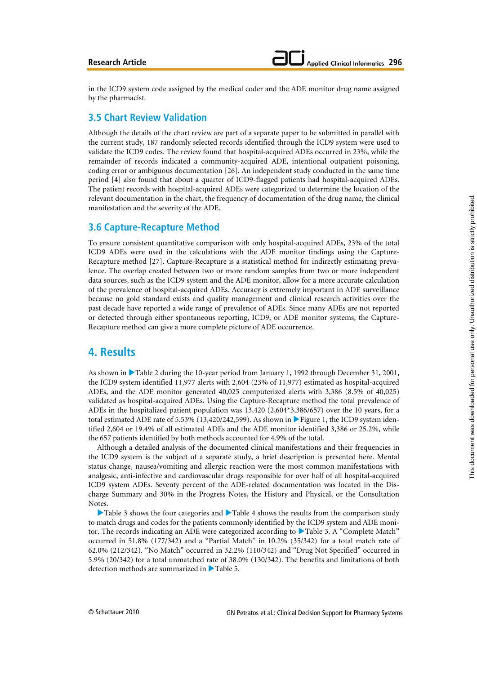#### **Research Article**

in the ICD9 system code assigned by the medical coder and the ADE monitor drug name assigned by the pharmacist.

## **3.5 Chart Review Validation**

Although the details of the chart review are part of a separate paper to be submitted in parallel with the current study, 187 randomly selected records identified through the ICD9 system were used to validate the ICD9 codes. The review found that hospital-acquired ADEs occurred in 23%, while the remainder of records indicated a community-acquired ADE, intentional outpatient poisoning, coding error or ambiguous documentation [26]. An independent study conducted in the same time period [4] also found that about a quarter of ICD9-flagged patients had hospital-acquired ADEs. The patient records with hospital-acquired ADEs were categorized to determine the location of the relevant documentation in the chart, the frequency of documentation of the drug name, the clinical manifestation and the severity of the ADE.

#### **3.6 Capture-Recapture Method**

To ensure consistent quantitative comparison with only hospital-acquired ADEs, 23% of the total ICD9 ADEs were used in the calculations with the ADE monitor findings using the Capture-Recapture method [27]. Capture-Recapture is a statistical method for indirectly estimating prevalence. The overlap created between two or more random samples from two or more independent data sources, such as the ICD9 system and the ADE monitor, allow for a more accurate calculation of the prevalence of hospital-acquired ADEs. Accuracy is extremely important in ADE surveillance because no gold standard exists and quality management and clinical research activities over the past decade have reported a wide range of prevalence of ADEs. Since many ADEs are not reported or detected through either spontaneous reporting, ICD9, or ADE monitor systems, the Capture-Recapture method can give a more complete picture of ADE occurrence.

# **4. Results**

As shown in  $\blacktriangleright$  Table 2 during the 10-year period from January 1, 1992 through December 31, 2001, the ICD9 system identified 11,977 alerts with 2,604 (23% of 11,977) estimated as hospital-acquired ADEs, and the ADE monitor generated 40,025 computerized alerts with 3,386 (8.5% of 40,025) validated as hospital-acquired ADEs. Using the Capture-Recapture method the total prevalence of ADEs in the hospitalized patient population was 13,420 (2,604\*3,386/657) over the 10 years, for a total estimated ADE rate of 5.53% (13,420/242,599). As shown in Figure 1, the ICD9 system identified 2,604 or 19.4% of all estimated ADEs and the ADE monitor identified 3,386 or 25.2%, while the 657 patients identified by both methods accounted for 4.9% of the total.

Although a detailed analysis of the documented clinical manifestations and their frequencies in the ICD9 system is the subject of a separate study, a brief description is presented here. Mental status change, nausea/vomiting and allergic reaction were the most common manifestations with analgesic, anti-infective and cardiovascular drugs responsible for over half of all hospital-acquired ICD9 system ADEs. Seventy percent of the ADE-related documentation was located in the Discharge Summary and 30% in the Progress Notes, the History and Physical, or the Consultation Notes.

Table 3 shows the four categories and Table 4 shows the results from the comparison study to match drugs and codes for the patients commonly identified by the ICD9 system and ADE monitor. The records indicating an ADE were categorized according to  $\blacktriangleright$  Table 3. A "Complete Match" occurred in 51.8% (177/342) and a "Partial Match" in 10.2% (35/342) for a total match rate of 62.0% (212/342). "No Match" occurred in 32.2% (110/342) and "Drug Not Specified" occurred in 5.9% (20/342) for a total unmatched rate of 38.0% (130/342). The benefits and limitations of both detection methods are summarized in  $\blacktriangleright$  Table 5.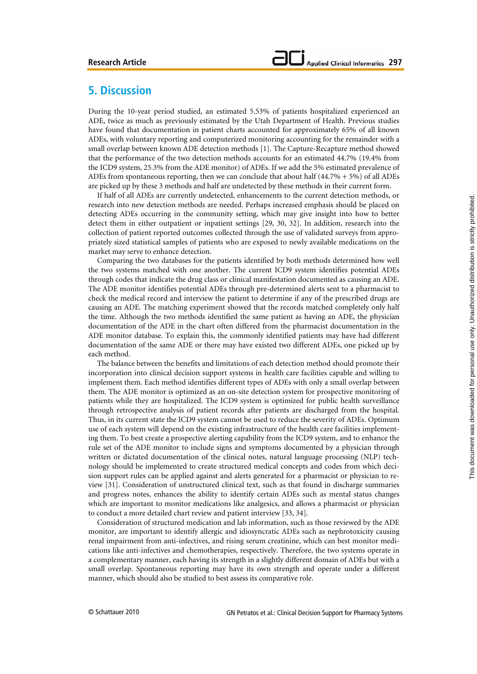# **5. Discussion**

During the 10-year period studied, an estimated 5.53% of patients hospitalized experienced an ADE, twice as much as previously estimated by the Utah Department of Health. Previous studies have found that documentation in patient charts accounted for approximately 65% of all known ADEs, with voluntary reporting and computerized monitoring accounting for the remainder with a small overlap between known ADE detection methods [1]. The Capture-Recapture method showed that the performance of the two detection methods accounts for an estimated 44.7% (19.4% from the ICD9 system, 25.3% from the ADE monitor) of ADEs. If we add the 5% estimated prevalence of ADEs from spontaneous reporting, then we can conclude that about half (44.7% + 5%) of all ADEs are picked up by these 3 methods and half are undetected by these methods in their current form.

If half of all ADEs are currently undetected, enhancements to the current detection methods, or research into new detection methods are needed. Perhaps increased emphasis should be placed on detecting ADEs occurring in the community setting, which may give insight into how to better detect them in either outpatient or inpatient settings [29, 30, 32]. In addition, research into the collection of patient reported outcomes collected through the use of validated surveys from appropriately sized statistical samples of patients who are exposed to newly available medications on the market may serve to enhance detection.

Comparing the two databases for the patients identified by both methods determined how well the two systems matched with one another. The current ICD9 system identifies potential ADEs through codes that indicate the drug class or clinical manifestation documented as causing an ADE. The ADE monitor identifies potential ADEs through pre-determined alerts sent to a pharmacist to check the medical record and interview the patient to determine if any of the prescribed drugs are causing an ADE. The matching experiment showed that the records matched completely only half the time. Although the two methods identified the same patient as having an ADE, the physician documentation of the ADE in the chart often differed from the pharmacist documentation in the ADE monitor database. To explain this, the commonly identified patients may have had different documentation of the same ADE or there may have existed two different ADEs, one picked up by each method.

The balance between the benefits and limitations of each detection method should promote their incorporation into clinical decision support systems in health care facilities capable and willing to implement them. Each method identifies different types of ADEs with only a small overlap between them. The ADE monitor is optimized as an on-site detection system for prospective monitoring of patients while they are hospitalized. The ICD9 system is optimized for public health surveillance through retrospective analysis of patient records after patients are discharged from the hospital. Thus, in its current state the ICD9 system cannot be used to reduce the severity of ADEs. Optimum use of each system will depend on the existing infrastructure of the health care facilities implementing them. To best create a prospective alerting capability from the ICD9 system, and to enhance the rule set of the ADE monitor to include signs and symptoms documented by a physician through written or dictated documentation of the clinical notes, natural language processing (NLP) technology should be implemented to create structured medical concepts and codes from which decision support rules can be applied against and alerts generated for a pharmacist or physician to review [31]. Consideration of unstructured clinical text, such as that found in discharge summaries and progress notes, enhances the ability to identify certain ADEs such as mental status changes which are important to monitor medications like analgesics, and allows a pharmacist or physician to conduct a more detailed chart review and patient interview [33, 34].

Consideration of structured medication and lab information, such as those reviewed by the ADE monitor, are important to identify allergic and idiosyncratic ADEs such as nephrotoxicity causing renal impairment from anti-infectives, and rising serum creatinine, which can best monitor medications like anti-infectives and chemotherapies, respectively. Therefore, the two systems operate in a complementary manner, each having its strength in a slightly different domain of ADEs but with a small overlap. Spontaneous reporting may have its own strength and operate under a different manner, which should also be studied to best assess its comparative role.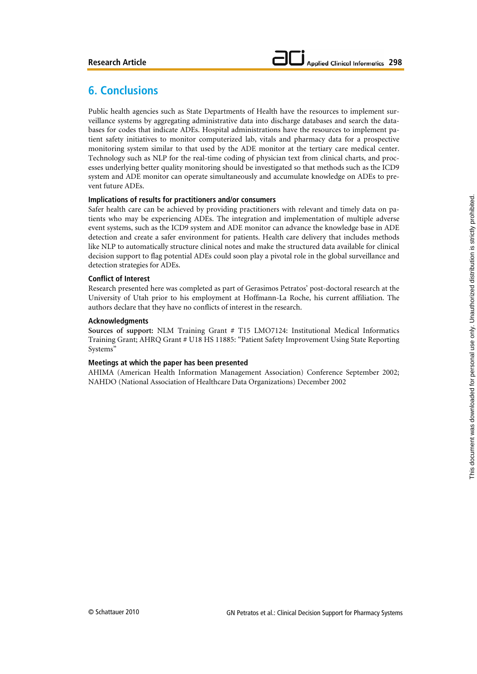# **6. Conclusions**

Public health agencies such as State Departments of Health have the resources to implement surveillance systems by aggregating administrative data into discharge databases and search the databases for codes that indicate ADEs. Hospital administrations have the resources to implement patient safety initiatives to monitor computerized lab, vitals and pharmacy data for a prospective monitoring system similar to that used by the ADE monitor at the tertiary care medical center. Technology such as NLP for the real-time coding of physician text from clinical charts, and processes underlying better quality monitoring should be investigated so that methods such as the ICD9 system and ADE monitor can operate simultaneously and accumulate knowledge on ADEs to prevent future ADEs.

#### **Implications of results for practitioners and/or consumers**

Safer health care can be achieved by providing practitioners with relevant and timely data on patients who may be experiencing ADEs. The integration and implementation of multiple adverse event systems, such as the ICD9 system and ADE monitor can advance the knowledge base in ADE detection and create a safer environment for patients. Health care delivery that includes methods like NLP to automatically structure clinical notes and make the structured data available for clinical decision support to flag potential ADEs could soon play a pivotal role in the global surveillance and detection strategies for ADEs.

#### **Conflict of Interest**

Research presented here was completed as part of Gerasimos Petratos' post-doctoral research at the University of Utah prior to his employment at Hoffmann-La Roche, his current affiliation. The authors declare that they have no conflicts of interest in the research.

#### **Acknowledgments**

**Sources of support:** NLM Training Grant # T15 LMO7124: Institutional Medical Informatics Training Grant; AHRQ Grant # U18 HS 11885: "Patient Safety Improvement Using State Reporting Systems"

#### **Meetings at which the paper has been presented**

AHIMA (American Health Information Management Association) Conference September 2002; NAHDO (National Association of Healthcare Data Organizations) December 2002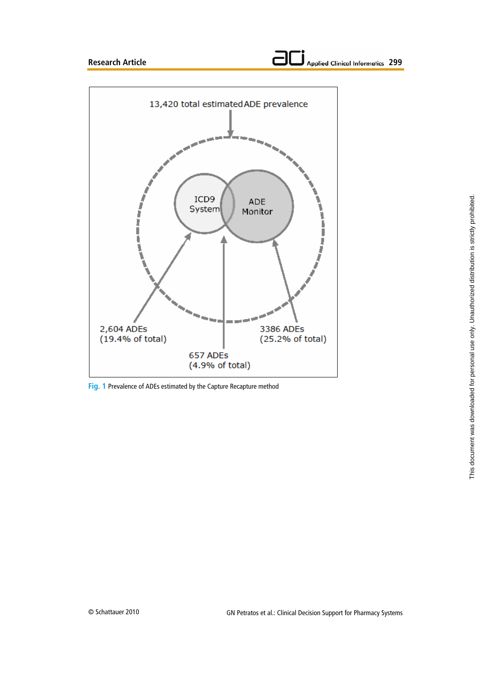



**Fig. 1** Prevalence of ADEs estimated by the Capture Recapture method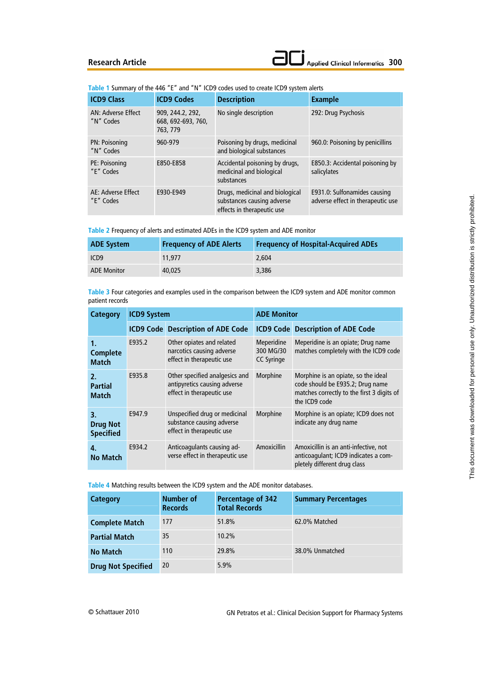# **Applied Clinical Informatics 300**

| <b>ICD9 Class</b>                 | <b>ICD9 Codes</b>                                  | <b>Description</b>                                                                          | <b>Example</b>                                                    |
|-----------------------------------|----------------------------------------------------|---------------------------------------------------------------------------------------------|-------------------------------------------------------------------|
| AN: Adverse Effect<br>"N" Codes   | 909, 244.2, 292,<br>668, 692-693, 760,<br>763, 779 | No single description                                                                       | 292: Drug Psychosis                                               |
| <b>PN: Poisoning</b><br>"N" Codes | 960-979                                            | Poisoning by drugs, medicinal<br>and biological substances                                  | 960.0: Poisoning by penicillins                                   |
| PE: Poisoning<br>"E" Codes        | E850-E858                                          | Accidental poisoning by drugs,<br>medicinal and biological<br>substances                    | E850.3: Accidental poisoning by<br>salicylates                    |
| AE: Adverse Effect<br>"E" Codes   | E930-E949                                          | Drugs, medicinal and biological<br>substances causing adverse<br>effects in therapeutic use | E931.0: Sulfonamides causing<br>adverse effect in therapeutic use |

**Table 1** Summary of the 446 "E" and "N" ICD9 codes used to create ICD9 system alerts

**Table 2** Frequency of alerts and estimated ADEs in the ICD9 system and ADE monitor

| <b>ADE System</b>  | <b>Frequency of ADE Alerts</b> | <b>Frequency of Hospital-Acquired ADEs</b> |
|--------------------|--------------------------------|--------------------------------------------|
| ICD <sub>9</sub>   | 11.977                         | 2.604                                      |
| <b>ADE Monitor</b> | 40,025                         | 3,386                                      |

**Table 3** Four categories and examples used in the comparison between the ICD9 system and ADE monitor common patient records

| <b>Category</b>                           | <b>ICD9 System</b> |                                                                                             | <b>ADE Monitor</b>                           |                                                                                                                                        |
|-------------------------------------------|--------------------|---------------------------------------------------------------------------------------------|----------------------------------------------|----------------------------------------------------------------------------------------------------------------------------------------|
|                                           |                    | <b>ICD9 Code Description of ADE Code</b>                                                    |                                              | <b>ICD9 Code Description of ADE Code</b>                                                                                               |
| 1.<br><b>Complete</b><br><b>Match</b>     | E935.2             | Other opiates and related<br>narcotics causing adverse<br>effect in therapeutic use         | Meperidine<br>300 MG/30<br><b>CC Syringe</b> | Meperidine is an opiate; Drug name<br>matches completely with the ICD9 code                                                            |
| 2.<br><b>Partial</b><br><b>Match</b>      | E935.8             | Other specified analgesics and<br>antipyretics causing adverse<br>effect in therapeutic use | Morphine                                     | Morphine is an opiate, so the ideal<br>code should be E935.2; Drug name<br>matches correctly to the first 3 digits of<br>the ICD9 code |
| 3.<br><b>Drug Not</b><br><b>Specified</b> | E947.9             | Unspecified drug or medicinal<br>substance causing adverse<br>effect in therapeutic use     | Morphine                                     | Morphine is an opiate; ICD9 does not<br>indicate any drug name                                                                         |
| 4.<br><b>No Match</b>                     | E934.2             | Anticoagulants causing ad-<br>verse effect in therapeutic use                               | Amoxicillin                                  | Amoxicillin is an anti-infective, not<br>anticoagulant; ICD9 indicates a com-<br>pletely different drug class                          |

**Table 4** Matching results between the ICD9 system and the ADE monitor databases.

| <b>Category</b>           | Number of<br><b>Records</b> | Percentage of 342<br><b>Total Records</b> | <b>Summary Percentages</b> |
|---------------------------|-----------------------------|-------------------------------------------|----------------------------|
| <b>Complete Match</b>     | 177                         | 51.8%                                     | 62.0% Matched              |
| <b>Partial Match</b>      | 35                          | 10.2%                                     |                            |
| <b>No Match</b>           | 110                         | 29.8%                                     | 38.0% Unmatched            |
| <b>Drug Not Specified</b> | 20                          | 5.9%                                      |                            |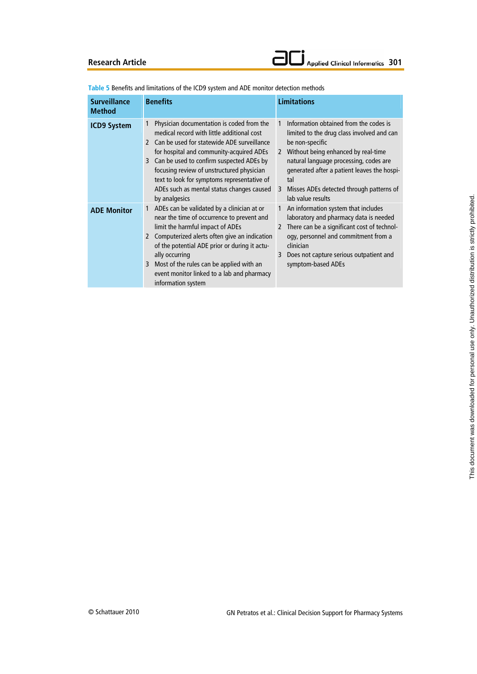| <b>Surveillance</b><br><b>Method</b> | <b>Benefits</b>                                                                                                                                                                                                                                                                                                                                                                              | <b>Limitations</b>                                                                                                                                                                                                                                                                                                               |
|--------------------------------------|----------------------------------------------------------------------------------------------------------------------------------------------------------------------------------------------------------------------------------------------------------------------------------------------------------------------------------------------------------------------------------------------|----------------------------------------------------------------------------------------------------------------------------------------------------------------------------------------------------------------------------------------------------------------------------------------------------------------------------------|
|                                      |                                                                                                                                                                                                                                                                                                                                                                                              |                                                                                                                                                                                                                                                                                                                                  |
| <b>ICD9 System</b>                   | Physician documentation is coded from the<br>medical record with little additional cost<br>Can be used for statewide ADE surveillance<br>$\mathcal{P}$<br>for hospital and community-acquired ADEs<br>Can be used to confirm suspected ADEs by<br>3<br>focusing review of unstructured physician<br>text to look for symptoms representative of<br>ADEs such as mental status changes caused | Information obtained from the codes is<br>$\mathbf{1}$<br>limited to the drug class involved and can<br>be non-specific<br>Without being enhanced by real-time<br>$\mathcal{L}$<br>natural language processing, codes are<br>generated after a patient leaves the hospi-<br>tal<br>Misses ADEs detected through patterns of<br>3 |
|                                      | by analgesics                                                                                                                                                                                                                                                                                                                                                                                | lab value results                                                                                                                                                                                                                                                                                                                |
| <b>ADE Monitor</b>                   | ADEs can be validated by a clinician at or<br>near the time of occurrence to prevent and<br>limit the harmful impact of ADEs<br>Computerized alerts often give an indication<br>$\mathbf{2}$<br>of the potential ADE prior or during it actu-                                                                                                                                                | An information system that includes<br>1<br>laboratory and pharmacy data is needed<br>There can be a significant cost of technol-<br>ogy, personnel and commitment from a<br>clinician                                                                                                                                           |
|                                      | ally occurring<br>Most of the rules can be applied with an<br>3<br>event monitor linked to a lab and pharmacy<br>information system                                                                                                                                                                                                                                                          | Does not capture serious outpatient and<br>3<br>symptom-based ADEs                                                                                                                                                                                                                                                               |

**Table 5** Benefits and limitations of the ICD9 system and ADE monitor detection methods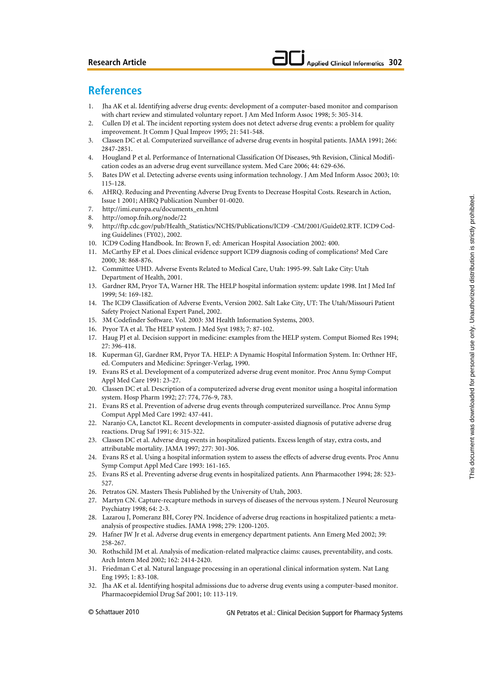# **References**

- 1. Jha AK et al. Identifying adverse drug events: development of a computer-based monitor and comparison with chart review and stimulated voluntary report. J Am Med Inform Assoc 1998; 5: 305-314.
- 2. Cullen DJ et al. The incident reporting system does not detect adverse drug events: a problem for quality improvement. Jt Comm J Qual Improv 1995; 21: 541-548.
- 3. Classen DC et al. Computerized surveillance of adverse drug events in hospital patients. JAMA 1991; 266: 2847-2851.
- 4. Hougland P et al. Performance of International Classification Of Diseases, 9th Revision, Clinical Modification codes as an adverse drug event surveillance system. Med Care 2006; 44: 629-636.
- 5. Bates DW et al. Detecting adverse events using information technology. J Am Med Inform Assoc 2003; 10: 115-128.
- 6. AHRQ. Reducing and Preventing Adverse Drug Events to Decrease Hospital Costs. Research in Action, Issue 1 2001; AHRQ Publication Number 01-0020.
- 7. http://imi.europa.eu/documents\_en.html
- 8. http://omop.fnih.org/node/22
- 9. http://ftp.cdc.gov/pub/Health\_Statistics/NCHS/Publications/ICD9 -CM/2001/Guide02.RTF. ICD9 Coding Guidelines (FY02), 2002.
- 10. ICD9 Coding Handbook. In: Brown F, ed: American Hospital Association 2002: 400.
- 11. McCarthy EP et al. Does clinical evidence support ICD9 diagnosis coding of complications? Med Care 2000; 38: 868-876.
- 12. Committee UHD. Adverse Events Related to Medical Care, Utah: 1995-99. Salt Lake City: Utah Department of Health, 2001.
- 13. Gardner RM, Pryor TA, Warner HR. The HELP hospital information system: update 1998. Int J Med Inf 1999; 54: 169-182.
- 14. The ICD9 Classification of Adverse Events, Version 2002. Salt Lake City, UT: The Utah/Missouri Patient Safety Project National Expert Panel, 2002.
- 15. 3M Codefinder Software. Vol. 2003: 3M Health Information Systems, 2003.
- 16. Pryor TA et al. The HELP system. J Med Syst 1983; 7: 87-102.
- 17. Haug PJ et al. Decision support in medicine: examples from the HELP system. Comput Biomed Res 1994; 27: 396-418.
- 18. Kuperman GJ, Gardner RM, Pryor TA. HELP: A Dynamic Hospital Information System. In: Orthner HF, ed. Computers and Medicine: Springer-Verlag, 1990.
- 19. Evans RS et al. Development of a computerized adverse drug event monitor. Proc Annu Symp Comput Appl Med Care 1991: 23-27.
- 20. Classen DC et al. Description of a computerized adverse drug event monitor using a hospital information system. Hosp Pharm 1992; 27: 774, 776-9, 783.
- 21. Evans RS et al. Prevention of adverse drug events through computerized surveillance. Proc Annu Symp Comput Appl Med Care 1992: 437-441.
- 22. Naranjo CA, Lanctot KL. Recent developments in computer-assisted diagnosis of putative adverse drug reactions. Drug Saf 1991; 6: 315-322.
- 23. Classen DC et al. Adverse drug events in hospitalized patients. Excess length of stay, extra costs, and attributable mortality. JAMA 1997; 277: 301-306.
- 24. Evans RS et al. Using a hospital information system to assess the effects of adverse drug events. Proc Annu Symp Comput Appl Med Care 1993: 161-165.
- 25. Evans RS et al. Preventing adverse drug events in hospitalized patients. Ann Pharmacother 1994; 28: 523- 527.
- 26. Petratos GN. Masters Thesis Published by the University of Utah, 2003.
- 27. Martyn CN. Capture-recapture methods in surveys of diseases of the nervous system. J Neurol Neurosurg Psychiatry 1998; 64: 2-3.
- 28. Lazarou J, Pomeranz BH, Corey PN. Incidence of adverse drug reactions in hospitalized patients: a metaanalysis of prospective studies. JAMA 1998; 279: 1200-1205.
- 29. Hafner JW Jr et al. Adverse drug events in emergency department patients. Ann Emerg Med 2002; 39: 258-267.
- 30. Rothschild JM et al. Analysis of medication-related malpractice claims: causes, preventability, and costs. Arch Intern Med 2002; 162: 2414-2420.
- 31. Friedman C et al. Natural language processing in an operational clinical information system. Nat Lang Eng 1995; 1: 83-108.
- 32. Jha AK et al. Identifying hospital admissions due to adverse drug events using a computer-based monitor. Pharmacoepidemiol Drug Saf 2001; 10: 113-119.